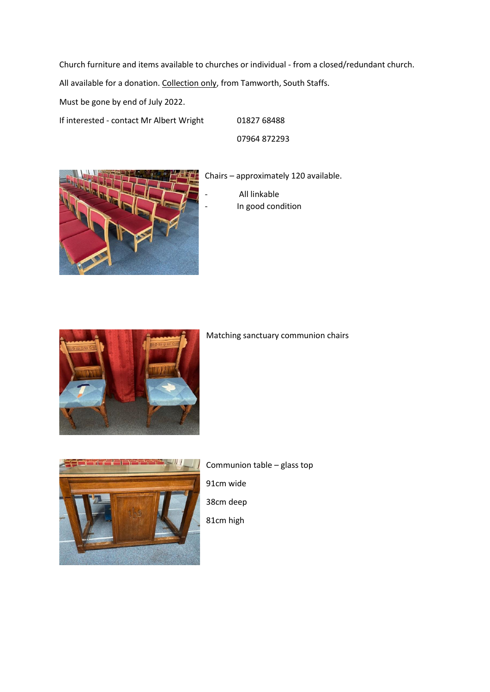Church furniture and items available to churches or individual - from a closed/redundant church.

All available for a donation. Collection only, from Tamworth, South Staffs.

Must be gone by end of July 2022.

If interested - contact Mr Albert Wright 01827 68488

07964 872293



Chairs – approximately 120 available. - All linkable In good condition



Matching sanctuary communion chairs



Communion table – glass top 91cm wide 38cm deep 81cm high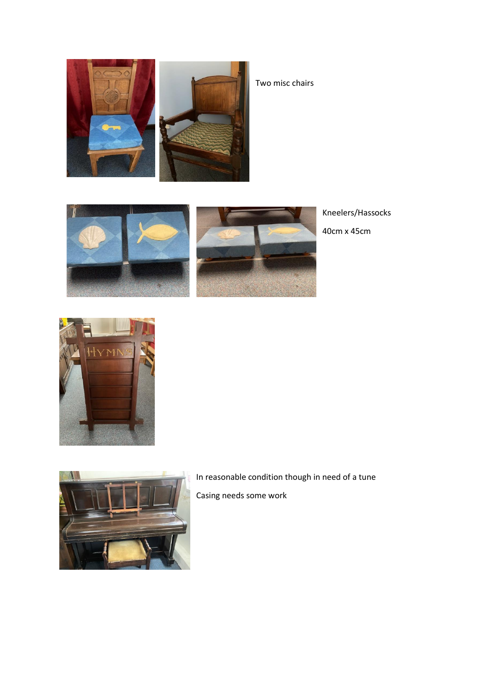

Two misc chairs



Kneelers/Hassocks

40cm x 45cm





In reasonable condition though in need of a tune Casing needs some work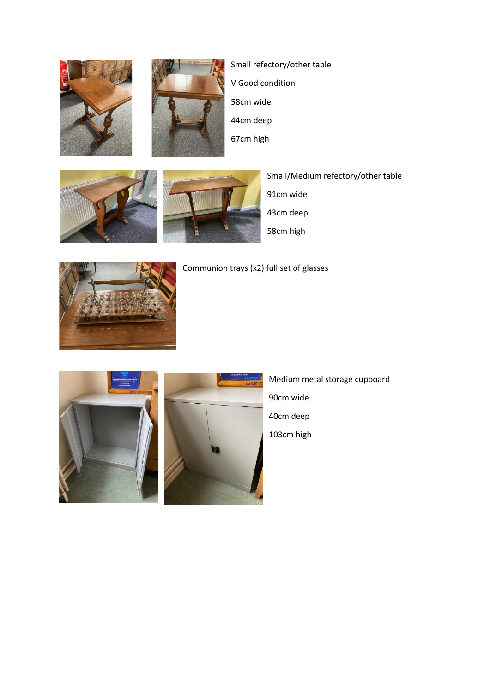



Small refectory/other table V Good condition 58cm wide 44cm deep 67cm high





Small/Medium refectory/other table 91cm wide

43cm deep

58cm high



Communion trays (x2) full set of glasses



Medium metal storage cupboard 90cm wide 40cm deep 103cm high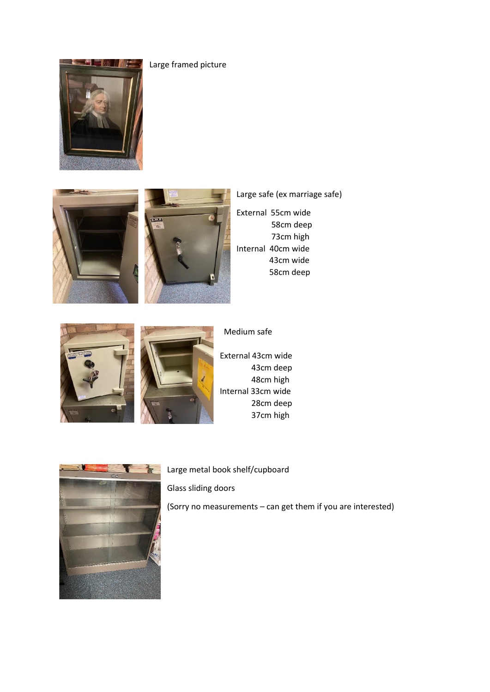





## Large safe (ex marriage safe)

External 55cm wide 58cm deep 73cm high Internal 40cm wide 43cm wide 58cm deep





External 43cm wide 43cm deep 48cm high Internal 33cm wide 28cm deep 37cm high

Medium safe



Large metal book shelf/cupboard

Glass sliding doors

(Sorry no measurements – can get them if you are interested)